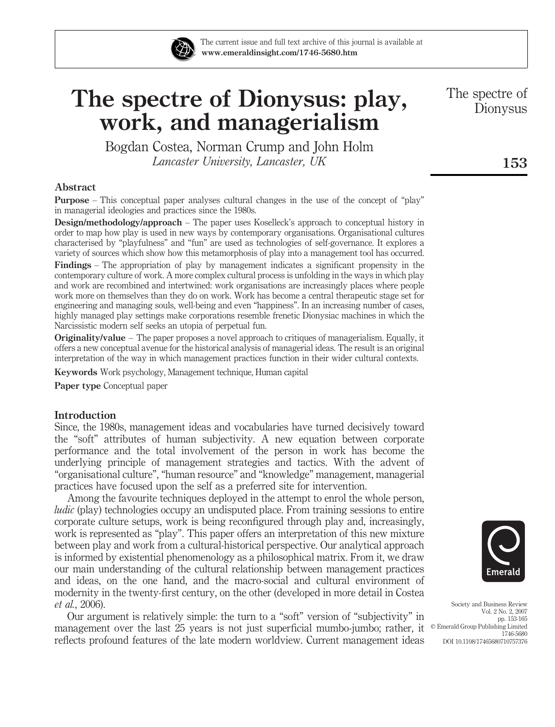

The current issue and full text archive of this journal is available at www.emeraldinsight.com/1746-5680.htm

# The spectre of Dionysus: play, work, and managerialism

Bogdan Costea, Norman Crump and John Holm Lancaster University, Lancaster, UK

### Abstract

Purpose – This conceptual paper analyses cultural changes in the use of the concept of "play" in managerial ideologies and practices since the 1980s.

Design/methodology/approach – The paper uses Koselleck's approach to conceptual history in order to map how play is used in new ways by contemporary organisations. Organisational cultures characterised by "playfulness" and "fun" are used as technologies of self-governance. It explores a variety of sources which show how this metamorphosis of play into a management tool has occurred.

Findings – The appropriation of play by management indicates a significant propensity in the contemporary culture of work. A more complex cultural process is unfolding in the ways in which play and work are recombined and intertwined: work organisations are increasingly places where people work more on themselves than they do on work. Work has become a central therapeutic stage set for engineering and managing souls, well-being and even "happiness". In an increasing number of cases, highly managed play settings make corporations resemble frenetic Dionysiac machines in which the Narcissistic modern self seeks an utopia of perpetual fun.

Originality/value – The paper proposes a novel approach to critiques of managerialism. Equally, it offers a new conceptual avenue for the historical analysis of managerial ideas. The result is an original interpretation of the way in which management practices function in their wider cultural contexts.

Keywords Work psychology, Management technique, Human capital

Paper type Conceptual paper

### Introduction

Since, the 1980s, management ideas and vocabularies have turned decisively toward the "soft" attributes of human subjectivity. A new equation between corporate performance and the total involvement of the person in work has become the underlying principle of management strategies and tactics. With the advent of "organisational culture", "human resource" and "knowledge" management, managerial practices have focused upon the self as a preferred site for intervention.

Among the favourite techniques deployed in the attempt to enrol the whole person, ludic (play) technologies occupy an undisputed place. From training sessions to entire corporate culture setups, work is being reconfigured through play and, increasingly, work is represented as "play". This paper offers an interpretation of this new mixture between play and work from a cultural-historical perspective. Our analytical approach is informed by existential phenomenology as a philosophical matrix. From it, we draw our main understanding of the cultural relationship between management practices and ideas, on the one hand, and the macro-social and cultural environment of modernity in the twenty-first century, on the other (developed in more detail in Costea et al., 2006).

Our argument is relatively simple: the turn to a "soft" version of "subjectivity" in management over the last 25 years is not just superficial mumbo-jumbo; rather, it  $\circ$  Emerald Group Publishing Limited Cro reflects profound features of the late modern worldview. Current management ideas



Society and Business Review Vol. 2 No. 2, 2007 pp. 153-165 1746-5680 DOI 10.1108/17465680710757376

The spectre of Dionysus

153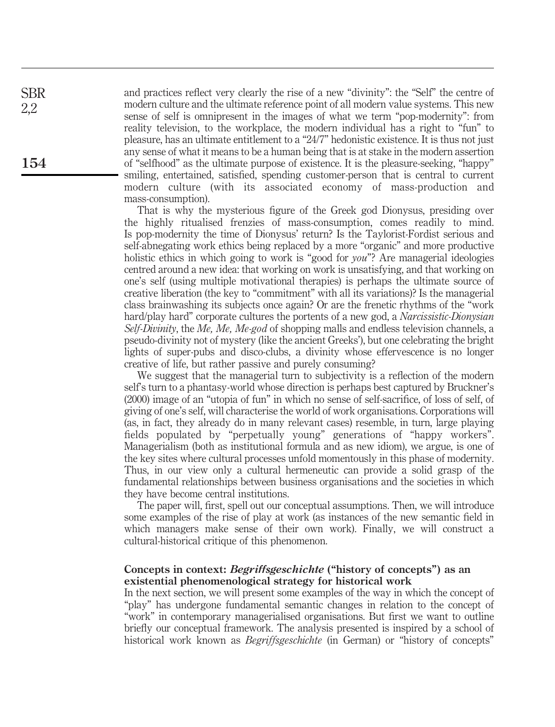and practices reflect very clearly the rise of a new "divinity": the "Self" the centre of modern culture and the ultimate reference point of all modern value systems. This new sense of self is omnipresent in the images of what we term "pop-modernity": from reality television, to the workplace, the modern individual has a right to "fun" to pleasure, has an ultimate entitlement to a "24/7" hedonistic existence. It is thus not just any sense of what it means to be a human being that is at stake in the modern assertion of "selfhood" as the ultimate purpose of existence. It is the pleasure-seeking, "happy" smiling, entertained, satisfied, spending customer-person that is central to current modern culture (with its associated economy of mass-production and mass-consumption).

That is why the mysterious figure of the Greek god Dionysus, presiding over the highly ritualised frenzies of mass-consumption, comes readily to mind. Is pop-modernity the time of Dionysus' return? Is the Taylorist-Fordist serious and self-abnegating work ethics being replaced by a more "organic" and more productive holistic ethics in which going to work is "good for *you*"? Are managerial ideologies centred around a new idea: that working on work is unsatisfying, and that working on one's self (using multiple motivational therapies) is perhaps the ultimate source of creative liberation (the key to "commitment" with all its variations)? Is the managerial class brainwashing its subjects once again? Or are the frenetic rhythms of the "work hard/play hard" corporate cultures the portents of a new god, a *Narcissistic-Dionysian* Self-Divinity, the Me, Me, Me-god of shopping malls and endless television channels, a pseudo-divinity not of mystery (like the ancient Greeks'), but one celebrating the bright lights of super-pubs and disco-clubs, a divinity whose effervescence is no longer creative of life, but rather passive and purely consuming?

We suggest that the managerial turn to subjectivity is a reflection of the modern self's turn to a phantasy-world whose direction is perhaps best captured by Bruckner's (2000) image of an "utopia of fun" in which no sense of self-sacrifice, of loss of self, of giving of one's self, will characterise the world of work organisations. Corporations will (as, in fact, they already do in many relevant cases) resemble, in turn, large playing fields populated by "perpetually young" generations of "happy workers". Managerialism (both as institutional formula and as new idiom), we argue, is one of the key sites where cultural processes unfold momentously in this phase of modernity. Thus, in our view only a cultural hermeneutic can provide a solid grasp of the fundamental relationships between business organisations and the societies in which they have become central institutions.

The paper will, first, spell out our conceptual assumptions. Then, we will introduce some examples of the rise of play at work (as instances of the new semantic field in which managers make sense of their own work). Finally, we will construct a cultural-historical critique of this phenomenon.

# Concepts in context: Begriffsgeschichte ("history of concepts") as an existential phenomenological strategy for historical work

In the next section, we will present some examples of the way in which the concept of "play" has undergone fundamental semantic changes in relation to the concept of "work" in contemporary managerialised organisations. But first we want to outline briefly our conceptual framework. The analysis presented is inspired by a school of historical work known as *Begriffsgeschichte* (in German) or "history of concepts"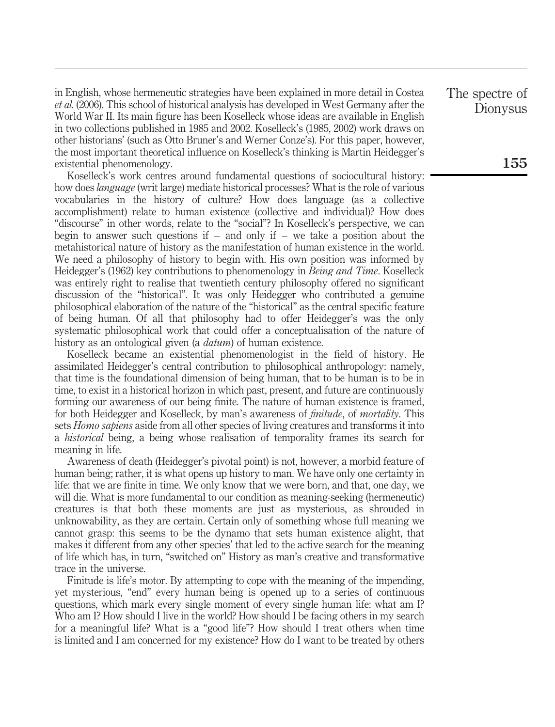in English, whose hermeneutic strategies have been explained in more detail in Costea et al. (2006). This school of historical analysis has developed in West Germany after the World War II. Its main figure has been Koselleck whose ideas are available in English in two collections published in 1985 and 2002. Koselleck's (1985, 2002) work draws on other historians' (such as Otto Bruner's and Werner Conze's). For this paper, however, the most important theoretical influence on Koselleck's thinking is Martin Heidegger's existential phenomenology.

Koselleck's work centres around fundamental questions of sociocultural history: how does language (writ large) mediate historical processes? What is the role of various vocabularies in the history of culture? How does language (as a collective accomplishment) relate to human existence (collective and individual)? How does "discourse" in other words, relate to the "social"? In Koselleck's perspective, we can begin to answer such questions if  $-$  and only if  $-$  we take a position about the metahistorical nature of history as the manifestation of human existence in the world. We need a philosophy of history to begin with. His own position was informed by Heidegger's (1962) key contributions to phenomenology in Being and Time. Koselleck was entirely right to realise that twentieth century philosophy offered no significant discussion of the "historical". It was only Heidegger who contributed a genuine philosophical elaboration of the nature of the "historical" as the central specific feature of being human. Of all that philosophy had to offer Heidegger's was the only systematic philosophical work that could offer a conceptualisation of the nature of history as an ontological given (a *datum*) of human existence.

Koselleck became an existential phenomenologist in the field of history. He assimilated Heidegger's central contribution to philosophical anthropology: namely, that time is the foundational dimension of being human, that to be human is to be in time, to exist in a historical horizon in which past, present, and future are continuously forming our awareness of our being finite. The nature of human existence is framed, for both Heidegger and Koselleck, by man's awareness of *finitude*, of *mortality*. This sets *Homo sapiens* aside from all other species of living creatures and transforms it into a historical being, a being whose realisation of temporality frames its search for meaning in life.

Awareness of death (Heidegger's pivotal point) is not, however, a morbid feature of human being; rather, it is what opens up history to man. We have only one certainty in life: that we are finite in time. We only know that we were born, and that, one day, we will die. What is more fundamental to our condition as meaning-seeking (hermeneutic) creatures is that both these moments are just as mysterious, as shrouded in unknowability, as they are certain. Certain only of something whose full meaning we cannot grasp: this seems to be the dynamo that sets human existence alight, that makes it different from any other species' that led to the active search for the meaning of life which has, in turn, "switched on" History as man's creative and transformative trace in the universe.

Finitude is life's motor. By attempting to cope with the meaning of the impending, yet mysterious, "end" every human being is opened up to a series of continuous questions, which mark every single moment of every single human life: what am I? Who am I? How should I live in the world? How should I be facing others in my search for a meaningful life? What is a "good life"? How should I treat others when time is limited and I am concerned for my existence? How do I want to be treated by others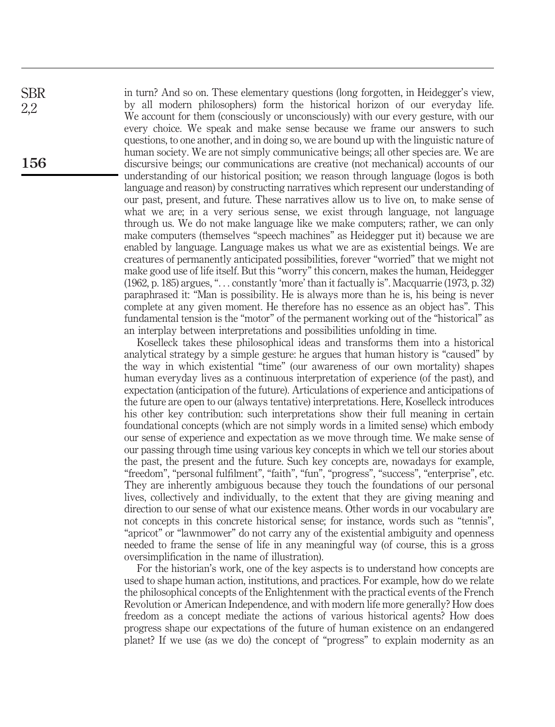in turn? And so on. These elementary questions (long forgotten, in Heidegger's view, by all modern philosophers) form the historical horizon of our everyday life. We account for them (consciously or unconsciously) with our every gesture, with our every choice. We speak and make sense because we frame our answers to such questions, to one another, and in doing so, we are bound up with the linguistic nature of human society. We are not simply communicative beings; all other species are. We are discursive beings; our communications are creative (not mechanical) accounts of our understanding of our historical position; we reason through language (logos is both language and reason) by constructing narratives which represent our understanding of our past, present, and future. These narratives allow us to live on, to make sense of what we are; in a very serious sense, we exist through language, not language through us. We do not make language like we make computers; rather, we can only make computers (themselves "speech machines" as Heidegger put it) because we are enabled by language. Language makes us what we are as existential beings. We are creatures of permanently anticipated possibilities, forever "worried" that we might not make good use of life itself. But this "worry" this concern, makes the human, Heidegger (1962, p. 185) argues, "... constantly 'more' than it factually is". Macquarrie (1973, p. 32) paraphrased it: "Man is possibility. He is always more than he is, his being is never complete at any given moment. He therefore has no essence as an object has". This fundamental tension is the "motor" of the permanent working out of the "historical" as an interplay between interpretations and possibilities unfolding in time.

Koselleck takes these philosophical ideas and transforms them into a historical analytical strategy by a simple gesture: he argues that human history is "caused" by the way in which existential "time" (our awareness of our own mortality) shapes human everyday lives as a continuous interpretation of experience (of the past), and expectation (anticipation of the future). Articulations of experience and anticipations of the future are open to our (always tentative) interpretations. Here, Koselleck introduces his other key contribution: such interpretations show their full meaning in certain foundational concepts (which are not simply words in a limited sense) which embody our sense of experience and expectation as we move through time. We make sense of our passing through time using various key concepts in which we tell our stories about the past, the present and the future. Such key concepts are, nowadays for example, "freedom", "personal fulfilment", "faith", "fun", "progress", "success", "enterprise", etc. They are inherently ambiguous because they touch the foundations of our personal lives, collectively and individually, to the extent that they are giving meaning and direction to our sense of what our existence means. Other words in our vocabulary are not concepts in this concrete historical sense; for instance, words such as "tennis", "apricot" or "lawnmower" do not carry any of the existential ambiguity and openness needed to frame the sense of life in any meaningful way (of course, this is a gross oversimplification in the name of illustration).

For the historian's work, one of the key aspects is to understand how concepts are used to shape human action, institutions, and practices. For example, how do we relate the philosophical concepts of the Enlightenment with the practical events of the French Revolution or American Independence, and with modern life more generally? How does freedom as a concept mediate the actions of various historical agents? How does progress shape our expectations of the future of human existence on an endangered planet? If we use (as we do) the concept of "progress" to explain modernity as an

156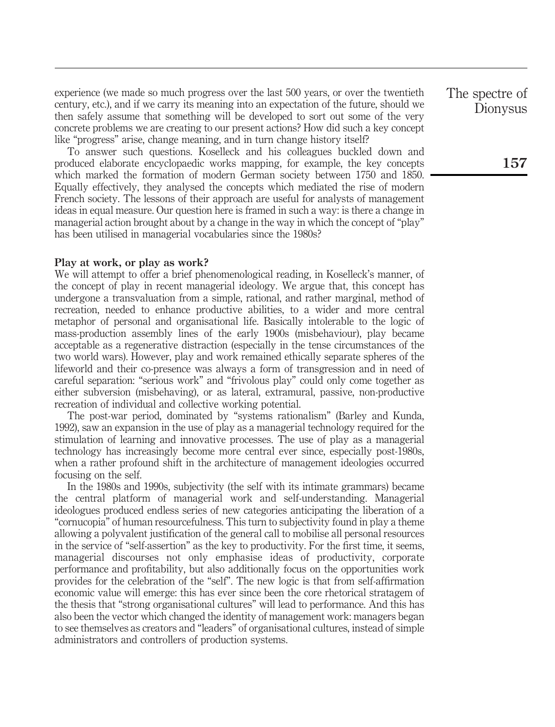experience (we made so much progress over the last 500 years, or over the twentieth century, etc.), and if we carry its meaning into an expectation of the future, should we then safely assume that something will be developed to sort out some of the very concrete problems we are creating to our present actions? How did such a key concept like "progress" arise, change meaning, and in turn change history itself?

To answer such questions. Koselleck and his colleagues buckled down and produced elaborate encyclopaedic works mapping, for example, the key concepts which marked the formation of modern German society between 1750 and 1850. Equally effectively, they analysed the concepts which mediated the rise of modern French society. The lessons of their approach are useful for analysts of management ideas in equal measure. Our question here is framed in such a way: is there a change in managerial action brought about by a change in the way in which the concept of "play" has been utilised in managerial vocabularies since the 1980s?

## Play at work, or play as work?

We will attempt to offer a brief phenomenological reading, in Koselleck's manner, of the concept of play in recent managerial ideology. We argue that, this concept has undergone a transvaluation from a simple, rational, and rather marginal, method of recreation, needed to enhance productive abilities, to a wider and more central metaphor of personal and organisational life. Basically intolerable to the logic of mass-production assembly lines of the early 1900s (misbehaviour), play became acceptable as a regenerative distraction (especially in the tense circumstances of the two world wars). However, play and work remained ethically separate spheres of the lifeworld and their co-presence was always a form of transgression and in need of careful separation: "serious work" and "frivolous play" could only come together as either subversion (misbehaving), or as lateral, extramural, passive, non-productive recreation of individual and collective working potential.

The post-war period, dominated by "systems rationalism" (Barley and Kunda, 1992), saw an expansion in the use of play as a managerial technology required for the stimulation of learning and innovative processes. The use of play as a managerial technology has increasingly become more central ever since, especially post-1980s, when a rather profound shift in the architecture of management ideologies occurred focusing on the self.

In the 1980s and 1990s, subjectivity (the self with its intimate grammars) became the central platform of managerial work and self-understanding. Managerial ideologues produced endless series of new categories anticipating the liberation of a "cornucopia" of human resourcefulness. This turn to subjectivity found in play a theme allowing a polyvalent justification of the general call to mobilise all personal resources in the service of "self-assertion" as the key to productivity. For the first time, it seems, managerial discourses not only emphasise ideas of productivity, corporate performance and profitability, but also additionally focus on the opportunities work provides for the celebration of the "self". The new logic is that from self-affirmation economic value will emerge: this has ever since been the core rhetorical stratagem of the thesis that "strong organisational cultures" will lead to performance. And this has also been the vector which changed the identity of management work: managers began to see themselves as creators and "leaders" of organisational cultures, instead of simple administrators and controllers of production systems.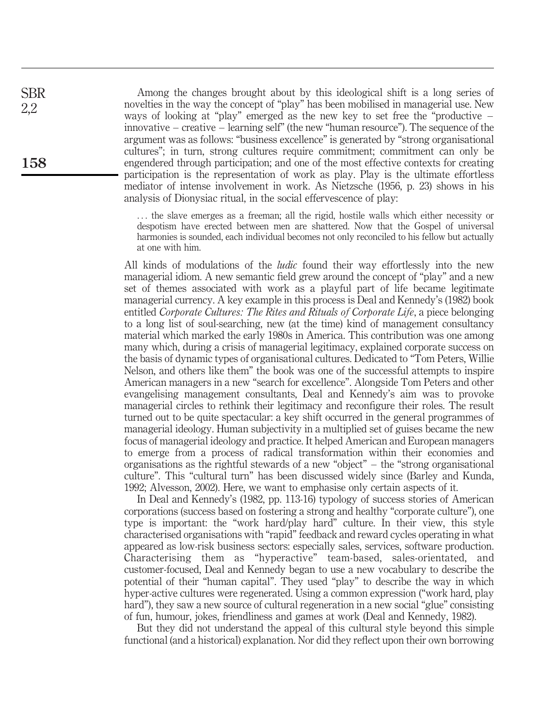Among the changes brought about by this ideological shift is a long series of novelties in the way the concept of "play" has been mobilised in managerial use. New ways of looking at "play" emerged as the new key to set free the "productive – innovative – creative – learning self" (the new "human resource"). The sequence of the argument was as follows: "business excellence" is generated by "strong organisational cultures"; in turn, strong cultures require commitment; commitment can only be engendered through participation; and one of the most effective contexts for creating participation is the representation of work as play. Play is the ultimate effortless mediator of intense involvement in work. As Nietzsche (1956, p. 23) shows in his analysis of Dionysiac ritual, in the social effervescence of play:

... the slave emerges as a freeman; all the rigid, hostile walls which either necessity or despotism have erected between men are shattered. Now that the Gospel of universal harmonies is sounded, each individual becomes not only reconciled to his fellow but actually at one with him.

All kinds of modulations of the *ludic* found their way effortlessly into the new managerial idiom. A new semantic field grew around the concept of "play" and a new set of themes associated with work as a playful part of life became legitimate managerial currency. A key example in this process is Deal and Kennedy's (1982) book entitled Corporate Cultures: The Rites and Rituals of Corporate Life, a piece belonging to a long list of soul-searching, new (at the time) kind of management consultancy material which marked the early 1980s in America. This contribution was one among many which, during a crisis of managerial legitimacy, explained corporate success on the basis of dynamic types of organisational cultures. Dedicated to "Tom Peters, Willie Nelson, and others like them" the book was one of the successful attempts to inspire American managers in a new "search for excellence". Alongside Tom Peters and other evangelising management consultants, Deal and Kennedy's aim was to provoke managerial circles to rethink their legitimacy and reconfigure their roles. The result turned out to be quite spectacular: a key shift occurred in the general programmes of managerial ideology. Human subjectivity in a multiplied set of guises became the new focus of managerial ideology and practice. It helped American and European managers to emerge from a process of radical transformation within their economies and organisations as the rightful stewards of a new "object" – the "strong organisational culture". This "cultural turn" has been discussed widely since (Barley and Kunda, 1992; Alvesson, 2002). Here, we want to emphasise only certain aspects of it.

In Deal and Kennedy's (1982, pp. 113-16) typology of success stories of American corporations (success based on fostering a strong and healthy "corporate culture"), one type is important: the "work hard/play hard" culture. In their view, this style characterised organisations with "rapid" feedback and reward cycles operating in what appeared as low-risk business sectors: especially sales, services, software production. Characterising them as "hyperactive" team-based, sales-orientated, and customer-focused, Deal and Kennedy began to use a new vocabulary to describe the potential of their "human capital". They used "play" to describe the way in which hyper-active cultures were regenerated. Using a common expression ("work hard, play hard"), they saw a new source of cultural regeneration in a new social "glue" consisting of fun, humour, jokes, friendliness and games at work (Deal and Kennedy, 1982).

But they did not understand the appeal of this cultural style beyond this simple functional (and a historical) explanation. Nor did they reflect upon their own borrowing

158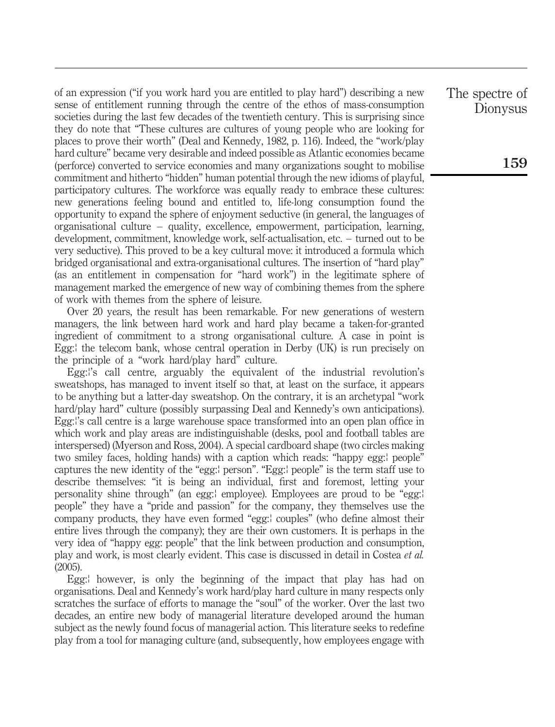of an expression ("if you work hard you are entitled to play hard") describing a new sense of entitlement running through the centre of the ethos of mass-consumption societies during the last few decades of the twentieth century. This is surprising since they do note that "These cultures are cultures of young people who are looking for places to prove their worth" (Deal and Kennedy, 1982, p. 116). Indeed, the "work/play hard culture" became very desirable and indeed possible as Atlantic economies became (perforce) converted to service economies and many organizations sought to mobilise commitment and hitherto "hidden" human potential through the new idioms of playful, participatory cultures. The workforce was equally ready to embrace these cultures: new generations feeling bound and entitled to, life-long consumption found the opportunity to expand the sphere of enjoyment seductive (in general, the languages of organisational culture – quality, excellence, empowerment, participation, learning, development, commitment, knowledge work, self-actualisation, etc. – turned out to be very seductive). This proved to be a key cultural move: it introduced a formula which bridged organisational and extra-organisational cultures. The insertion of "hard play" (as an entitlement in compensation for "hard work") in the legitimate sphere of management marked the emergence of new way of combining themes from the sphere of work with themes from the sphere of leisure.

Over 20 years, the result has been remarkable. For new generations of western managers, the link between hard work and hard play became a taken-for-granted ingredient of commitment to a strong organisational culture. A case in point is Egg:<sup>1</sup> the telecom bank, whose central operation in Derby (UK) is run precisely on the principle of a "work hard/play hard" culture.

Egg:''s call centre, arguably the equivalent of the industrial revolution's sweatshops, has managed to invent itself so that, at least on the surface, it appears to be anything but a latter-day sweatshop. On the contrary, it is an archetypal "work hard/play hard" culture (possibly surpassing Deal and Kennedy's own anticipations). Egg:''s call centre is a large warehouse space transformed into an open plan office in which work and play areas are indistinguishable (desks, pool and football tables are interspersed) (Myerson and Ross, 2004). A special cardboard shape (two circles making two smiley faces, holding hands) with a caption which reads: "happy egg: people" captures the new identity of the "egg:l person". "Egg:l people" is the term staff use to describe themselves: "it is being an individual, first and foremost, letting your personality shine through" (an egg: employee). Employees are proud to be "egg: people" they have a "pride and passion" for the company, they themselves use the company products, they have even formed "egg:<sup>1</sup> couples" (who define almost their entire lives through the company); they are their own customers. It is perhaps in the very idea of "happy egg: people" that the link between production and consumption, play and work, is most clearly evident. This case is discussed in detail in Costea et al. (2005).

Egg: however, is only the beginning of the impact that play has had on organisations. Deal and Kennedy's work hard/play hard culture in many respects only scratches the surface of efforts to manage the "soul" of the worker. Over the last two decades, an entire new body of managerial literature developed around the human subject as the newly found focus of managerial action. This literature seeks to redefine play from a tool for managing culture (and, subsequently, how employees engage with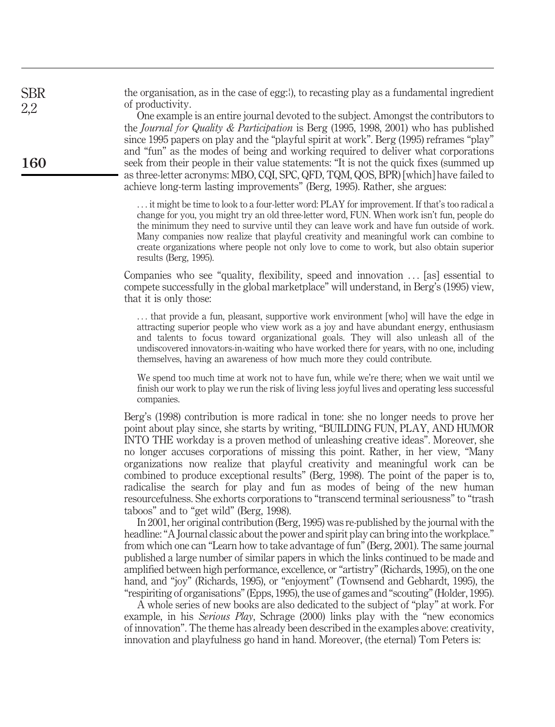the organisation, as in the case of egg: $\theta$ , to recasting play as a fundamental ingredient of productivity.

One example is an entire journal devoted to the subject. Amongst the contributors to the Journal for Quality & Participation is Berg (1995, 1998, 2001) who has published since 1995 papers on play and the "playful spirit at work". Berg (1995) reframes "play" and "fun" as the modes of being and working required to deliver what corporations seek from their people in their value statements: "It is not the quick fixes (summed up as three-letter acronyms: MBO, CQI, SPC, QFD, TQM, QOS, BPR) [which] have failed to achieve long-term lasting improvements" (Berg, 1995). Rather, she argues:

... it might be time to look to a four-letter word: PLAY for improvement. If that's too radical a change for you, you might try an old three-letter word, FUN. When work isn't fun, people do the minimum they need to survive until they can leave work and have fun outside of work. Many companies now realize that playful creativity and meaningful work can combine to create organizations where people not only love to come to work, but also obtain superior results (Berg, 1995).

Companies who see "quality, flexibility, speed and innovation ... [as] essential to compete successfully in the global marketplace" will understand, in Berg's (1995) view, that it is only those:

... that provide a fun, pleasant, supportive work environment [who] will have the edge in attracting superior people who view work as a joy and have abundant energy, enthusiasm and talents to focus toward organizational goals. They will also unleash all of the undiscovered innovators-in-waiting who have worked there for years, with no one, including themselves, having an awareness of how much more they could contribute.

We spend too much time at work not to have fun, while we're there; when we wait until we finish our work to play we run the risk of living less joyful lives and operating less successful companies.

Berg's (1998) contribution is more radical in tone: she no longer needs to prove her point about play since, she starts by writing, "BUILDING FUN, PLAY, AND HUMOR INTO THE workday is a proven method of unleashing creative ideas". Moreover, she no longer accuses corporations of missing this point. Rather, in her view, "Many organizations now realize that playful creativity and meaningful work can be combined to produce exceptional results" (Berg, 1998). The point of the paper is to, radicalise the search for play and fun as modes of being of the new human resourcefulness. She exhorts corporations to "transcend terminal seriousness" to "trash taboos" and to "get wild" (Berg, 1998).

In 2001, her original contribution (Berg, 1995) was re-published by the journal with the headline: "A Journal classic about the power and spirit play can bring into the workplace." from which one can "Learn how to take advantage of fun" (Berg, 2001). The same journal published a large number of similar papers in which the links continued to be made and amplified between high performance, excellence, or "artistry" (Richards, 1995), on the one hand, and "joy" (Richards, 1995), or "enjoyment" (Townsend and Gebhardt, 1995), the "respiriting of organisations" (Epps, 1995), the use of games and "scouting" (Holder, 1995).

A whole series of new books are also dedicated to the subject of "play" at work. For example, in his *Serious Play*, Schrage (2000) links play with the "new economics" of innovation". The theme has already been described in the examples above: creativity, innovation and playfulness go hand in hand. Moreover, (the eternal) Tom Peters is:

160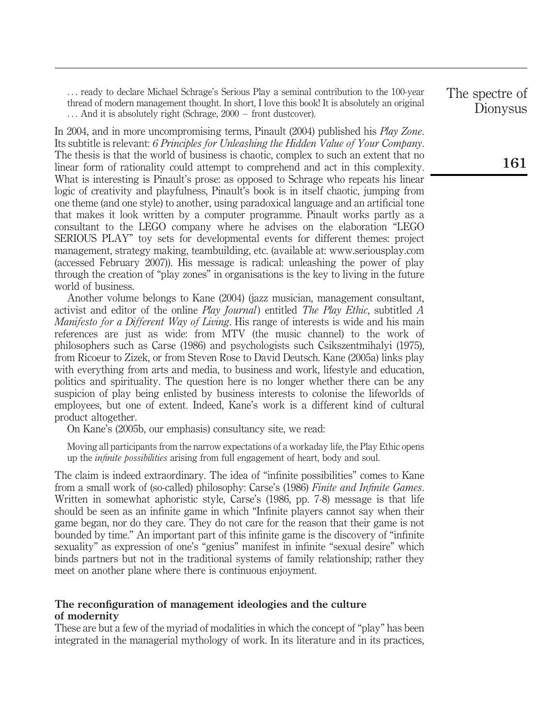... ready to declare Michael Schrage's Serious Play a seminal contribution to the 100-year thread of modern management thought. In short, I love this book! It is absolutely an original ... And it is absolutely right (Schrage, 2000 – front dustcover).

In 2004, and in more uncompromising terms, Pinault (2004) published his Play Zone. Its subtitle is relevant: 6 Principles for Unleashing the Hidden Value of Your Company. The thesis is that the world of business is chaotic, complex to such an extent that no linear form of rationality could attempt to comprehend and act in this complexity. What is interesting is Pinault's prose: as opposed to Schrage who repeats his linear logic of creativity and playfulness, Pinault's book is in itself chaotic, jumping from one theme (and one style) to another, using paradoxical language and an artificial tone that makes it look written by a computer programme. Pinault works partly as a consultant to the LEGO company where he advises on the elaboration "LEGO SERIOUS PLAY" toy sets for developmental events for different themes: project management, strategy making, teambuilding, etc. (available at: www.seriousplay.com (accessed February 2007)). His message is radical: unleashing the power of play through the creation of "play zones" in organisations is the key to living in the future world of business.

Another volume belongs to Kane (2004) (jazz musician, management consultant, activist and editor of the online Play Journal) entitled The Play Ethic, subtitled A Manifesto for a Different Way of Living. His range of interests is wide and his main references are just as wide: from MTV (the music channel) to the work of philosophers such as Carse (1986) and psychologists such Csikszentmihalyi (1975), from Ricoeur to Zizek, or from Steven Rose to David Deutsch. Kane (2005a) links play with everything from arts and media, to business and work, lifestyle and education, politics and spirituality. The question here is no longer whether there can be any suspicion of play being enlisted by business interests to colonise the lifeworlds of employees, but one of extent. Indeed, Kane's work is a different kind of cultural product altogether.

On Kane's (2005b, our emphasis) consultancy site, we read:

Moving all participants from the narrow expectations of a workaday life, the Play Ethic opens up the infinite possibilities arising from full engagement of heart, body and soul.

The claim is indeed extraordinary. The idea of "infinite possibilities" comes to Kane from a small work of (so-called) philosophy: Carse's (1986) Finite and Infinite Games. Written in somewhat aphoristic style, Carse's (1986, pp. 7-8) message is that life should be seen as an infinite game in which "Infinite players cannot say when their game began, nor do they care. They do not care for the reason that their game is not bounded by time." An important part of this infinite game is the discovery of "infinite sexuality" as expression of one's "genius" manifest in infinite "sexual desire" which binds partners but not in the traditional systems of family relationship; rather they meet on another plane where there is continuous enjoyment.

# The reconfiguration of management ideologies and the culture of modernity

These are but a few of the myriad of modalities in which the concept of "play" has been integrated in the managerial mythology of work. In its literature and in its practices,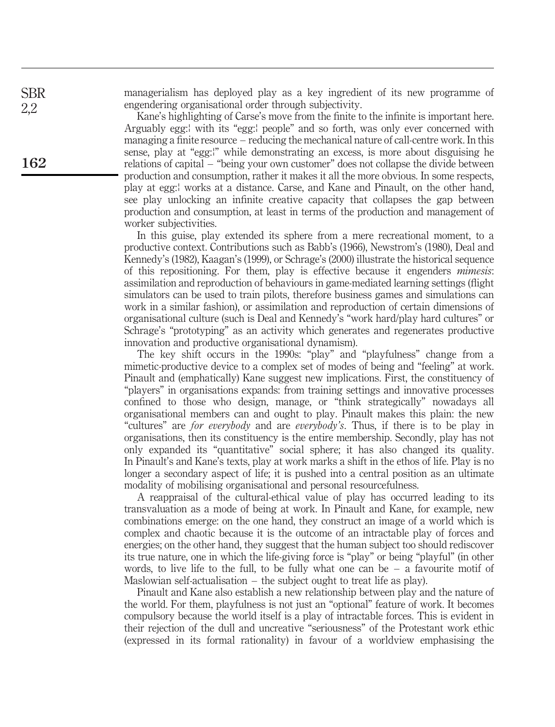managerialism has deployed play as a key ingredient of its new programme of engendering organisational order through subjectivity.

Kane's highlighting of Carse's move from the finite to the infinite is important here. Arguably egg: with its "egg: people" and so forth, was only ever concerned with managing a finite resource – reducing the mechanical nature of call-centre work. In this sense, play at "egg:!" while demonstrating an excess, is more about disguising he relations of capital – "being your own customer" does not collapse the divide between production and consumption, rather it makes it all the more obvious. In some respects, play at egg:f works at a distance. Carse, and Kane and Pinault, on the other hand, see play unlocking an infinite creative capacity that collapses the gap between production and consumption, at least in terms of the production and management of worker subjectivities.

In this guise, play extended its sphere from a mere recreational moment, to a productive context. Contributions such as Babb's (1966), Newstrom's (1980), Deal and Kennedy's (1982), Kaagan's (1999), or Schrage's (2000) illustrate the historical sequence of this repositioning. For them, play is effective because it engenders mimesis: assimilation and reproduction of behaviours in game-mediated learning settings (flight simulators can be used to train pilots, therefore business games and simulations can work in a similar fashion), or assimilation and reproduction of certain dimensions of organisational culture (such is Deal and Kennedy's "work hard/play hard cultures" or Schrage's "prototyping" as an activity which generates and regenerates productive innovation and productive organisational dynamism).

The key shift occurs in the 1990s: "play" and "playfulness" change from a mimetic-productive device to a complex set of modes of being and "feeling" at work. Pinault and (emphatically) Kane suggest new implications. First, the constituency of "players" in organisations expands: from training settings and innovative processes confined to those who design, manage, or "think strategically" nowadays all organisational members can and ought to play. Pinault makes this plain: the new "cultures" are for everybody and are everybody's. Thus, if there is to be play in organisations, then its constituency is the entire membership. Secondly, play has not only expanded its "quantitative" social sphere; it has also changed its quality. In Pinault's and Kane's texts, play at work marks a shift in the ethos of life. Play is no longer a secondary aspect of life; it is pushed into a central position as an ultimate modality of mobilising organisational and personal resourcefulness.

A reappraisal of the cultural-ethical value of play has occurred leading to its transvaluation as a mode of being at work. In Pinault and Kane, for example, new combinations emerge: on the one hand, they construct an image of a world which is complex and chaotic because it is the outcome of an intractable play of forces and energies; on the other hand, they suggest that the human subject too should rediscover its true nature, one in which the life-giving force is "play" or being "playful" (in other words, to live life to the full, to be fully what one can be  $-$  a favourite motif of Maslowian self-actualisation – the subject ought to treat life as play).

Pinault and Kane also establish a new relationship between play and the nature of the world. For them, playfulness is not just an "optional" feature of work. It becomes compulsory because the world itself is a play of intractable forces. This is evident in their rejection of the dull and uncreative "seriousness" of the Protestant work ethic (expressed in its formal rationality) in favour of a worldview emphasising the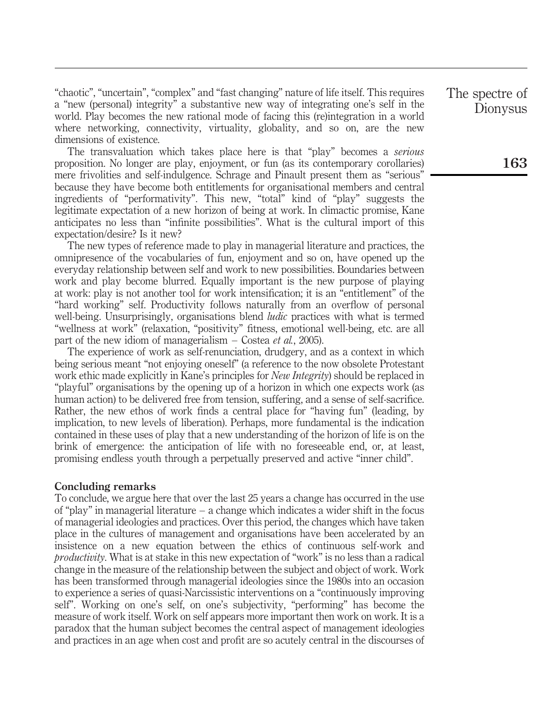"chaotic", "uncertain", "complex" and "fast changing" nature of life itself. This requires a "new (personal) integrity" a substantive new way of integrating one's self in the world. Play becomes the new rational mode of facing this (re)integration in a world where networking, connectivity, virtuality, globality, and so on, are the new dimensions of existence.

The transvaluation which takes place here is that "play" becomes a *serious* proposition. No longer are play, enjoyment, or fun (as its contemporary corollaries) mere frivolities and self-indulgence. Schrage and Pinault present them as "serious" because they have become both entitlements for organisational members and central ingredients of "performativity". This new, "total" kind of "play" suggests the legitimate expectation of a new horizon of being at work. In climactic promise, Kane anticipates no less than "infinite possibilities". What is the cultural import of this expectation/desire? Is it new?

The new types of reference made to play in managerial literature and practices, the omnipresence of the vocabularies of fun, enjoyment and so on, have opened up the everyday relationship between self and work to new possibilities. Boundaries between work and play become blurred. Equally important is the new purpose of playing at work: play is not another tool for work intensification; it is an "entitlement" of the "hard working" self. Productivity follows naturally from an overflow of personal well-being. Unsurprisingly, organisations blend *ludic* practices with what is termed "wellness at work" (relaxation, "positivity" fitness, emotional well-being, etc. are all part of the new idiom of managerialism – Costea et al., 2005).

The experience of work as self-renunciation, drudgery, and as a context in which being serious meant "not enjoying oneself" (a reference to the now obsolete Protestant work ethic made explicitly in Kane's principles for *New Integrity*) should be replaced in "playful" organisations by the opening up of a horizon in which one expects work (as human action) to be delivered free from tension, suffering, and a sense of self-sacrifice. Rather, the new ethos of work finds a central place for "having fun" (leading, by implication, to new levels of liberation). Perhaps, more fundamental is the indication contained in these uses of play that a new understanding of the horizon of life is on the brink of emergence: the anticipation of life with no foreseeable end, or, at least, promising endless youth through a perpetually preserved and active "inner child".

### Concluding remarks

To conclude, we argue here that over the last 25 years a change has occurred in the use of "play" in managerial literature – a change which indicates a wider shift in the focus of managerial ideologies and practices. Over this period, the changes which have taken place in the cultures of management and organisations have been accelerated by an insistence on a new equation between the ethics of continuous self-work and productivity. What is at stake in this new expectation of "work" is no less than a radical change in the measure of the relationship between the subject and object of work. Work has been transformed through managerial ideologies since the 1980s into an occasion to experience a series of quasi-Narcissistic interventions on a "continuously improving self". Working on one's self, on one's subjectivity, "performing" has become the measure of work itself. Work on self appears more important then work on work. It is a paradox that the human subject becomes the central aspect of management ideologies and practices in an age when cost and profit are so acutely central in the discourses of The spectre of Dionysus

163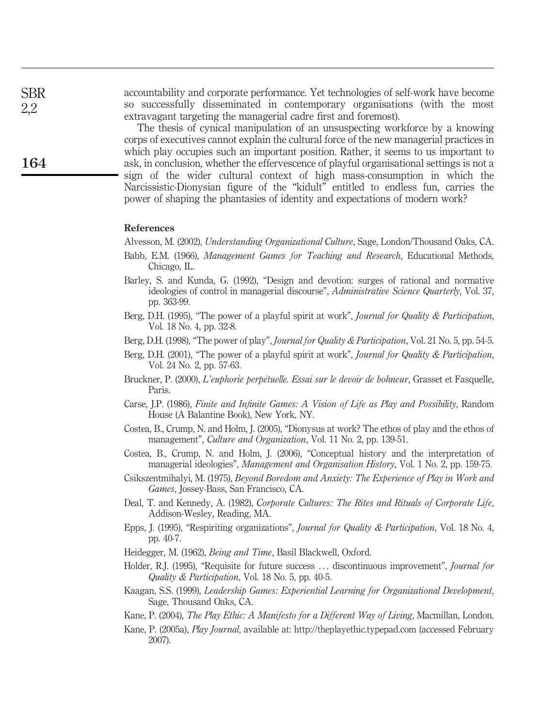The thesis of cynical manipulation of an unsuspecting workforce by a knowing corps of executives cannot explain the cultural force of the new managerial practices in which play occupies such an important position. Rather, it seems to us important to ask, in conclusion, whether the effervescence of playful organisational settings is not a sign of the wider cultural context of high mass-consumption in which the Narcissistic-Dionysian figure of the "kidult" entitled to endless fun, carries the power of shaping the phantasies of identity and expectations of modern work?

#### References

Alvesson, M. (2002), Understanding Organizational Culture, Sage, London/Thousand Oaks, CA.

- Babb, E.M. (1966), Management Games for Teaching and Research, Educational Methods, Chicago, IL.
- Barley, S. and Kunda, G. (1992), "Design and devotion: surges of rational and normative ideologies of control in managerial discourse", Administrative Science Quarterly, Vol. 37, pp. 363-99.
- Berg, D.H. (1995), "The power of a playful spirit at work", *Journal for Quality & Participation*, Vol. 18 No. 4, pp. 32-8.
- Berg, D.H. (1998), "The power of play", *Journal for Quality & Participation*, Vol. 21 No. 5, pp. 54-5.
- Berg, D.H. (2001), "The power of a playful spirit at work", *Journal for Quality & Participation*, Vol. 24 No. 2, pp. 57-63.
- Bruckner, P. (2000), L'euphorie perpétuelle. Essai sur le devoir de bohneur, Grasset et Fasquelle, Paris.
- Carse, J.P. (1986), Finite and Infinite Games: A Vision of Life as Play and Possibility, Random House (A Balantine Book), New York, NY.
- Costea, B., Crump, N. and Holm, J. (2005), "Dionysus at work? The ethos of play and the ethos of management", Culture and Organization, Vol. 11 No. 2, pp. 139-51.
- Costea, B., Crump, N. and Holm, J. (2006), "Conceptual history and the interpretation of managerial ideologies", Management and Organisation History, Vol. 1 No. 2, pp. 159-75.
- Csikszentmihalyi, M. (1975), Beyond Boredom and Anxiety: The Experience of Play in Work and Games, Jossey-Bass, San Francisco, CA.
- Deal, T. and Kennedy, A. (1982), Corporate Cultures: The Rites and Rituals of Corporate Life, Addison-Wesley, Reading, MA.
- Epps, J. (1995), "Respiriting organizations", Journal for Quality & Participation, Vol. 18 No. 4, pp. 40-7.
- Heidegger, M. (1962), Being and Time, Basil Blackwell, Oxford.
- Holder, R.J. (1995), "Requisite for future success ... discontinuous improvement", Journal for Quality & Participation, Vol. 18 No. 5, pp. 40-5.
- Kaagan, S.S. (1999), Leadership Games: Experiential Learning for Organizational Development, Sage, Thousand Oaks, CA.
- Kane, P. (2004), *The Play Ethic: A Manifesto for a Different Way of Living*, Macmillan, London.
- Kane, P. (2005a), Play Journal, available at: http://theplayethic.typepad.com (accessed February 2007).

SBR